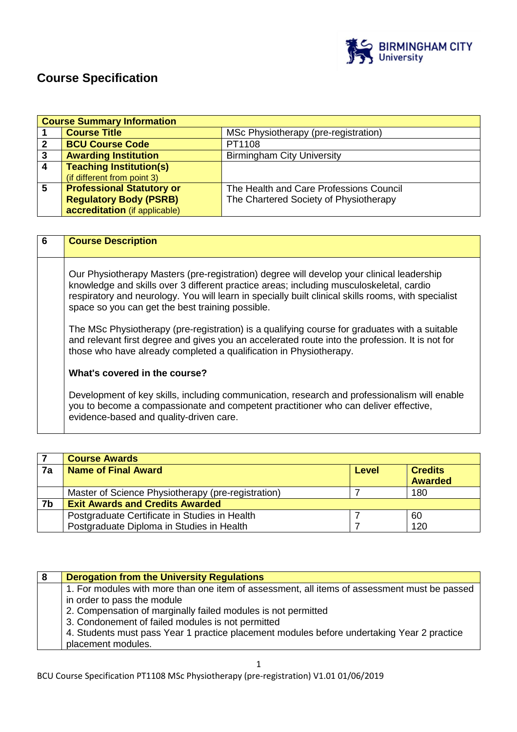

# **Course Specification**

|                         | <b>Course Summary Information</b> |                                         |  |
|-------------------------|-----------------------------------|-----------------------------------------|--|
|                         | <b>Course Title</b>               | MSc Physiotherapy (pre-registration)    |  |
| $\mathbf{2}$            | <b>BCU Course Code</b>            | PT1108                                  |  |
| 3                       | <b>Awarding Institution</b>       | <b>Birmingham City University</b>       |  |
| $\overline{4}$          | <b>Teaching Institution(s)</b>    |                                         |  |
|                         | (if different from point 3)       |                                         |  |
| $\overline{\mathbf{5}}$ | <b>Professional Statutory or</b>  | The Health and Care Professions Council |  |
|                         | <b>Regulatory Body (PSRB)</b>     | The Chartered Society of Physiotherapy  |  |
|                         | accreditation (if applicable)     |                                         |  |

| 6 | <b>Course Description</b>                                                                                                                                                                                                                                                                                                                       |
|---|-------------------------------------------------------------------------------------------------------------------------------------------------------------------------------------------------------------------------------------------------------------------------------------------------------------------------------------------------|
|   | Our Physiotherapy Masters (pre-registration) degree will develop your clinical leadership<br>knowledge and skills over 3 different practice areas; including musculoskeletal, cardio<br>respiratory and neurology. You will learn in specially built clinical skills rooms, with specialist<br>space so you can get the best training possible. |
|   | The MSc Physiotherapy (pre-registration) is a qualifying course for graduates with a suitable<br>and relevant first degree and gives you an accelerated route into the profession. It is not for<br>those who have already completed a qualification in Physiotherapy.                                                                          |
|   | What's covered in the course?                                                                                                                                                                                                                                                                                                                   |
|   | Development of key skills, including communication, research and professionalism will enable<br>you to become a compassionate and competent practitioner who can deliver effective,<br>evidence-based and quality-driven care.                                                                                                                  |

|    | <b>Course Awards</b>                               |       |                                  |
|----|----------------------------------------------------|-------|----------------------------------|
| 7a | <b>Name of Final Award</b>                         | Level | <b>Credits</b><br><b>Awarded</b> |
|    | Master of Science Physiotherapy (pre-registration) |       | 180                              |
| 7b | <b>Exit Awards and Credits Awarded</b>             |       |                                  |
|    | Postgraduate Certificate in Studies in Health      |       | 60                               |
|    | Postgraduate Diploma in Studies in Health          |       | 120                              |

| 8 | <b>Derogation from the University Regulations</b>                                            |
|---|----------------------------------------------------------------------------------------------|
|   | 1. For modules with more than one item of assessment, all items of assessment must be passed |
|   | in order to pass the module                                                                  |
|   | 2. Compensation of marginally failed modules is not permitted                                |
|   | 3. Condonement of failed modules is not permitted                                            |
|   | 4. Students must pass Year 1 practice placement modules before undertaking Year 2 practice   |
|   | placement modules.                                                                           |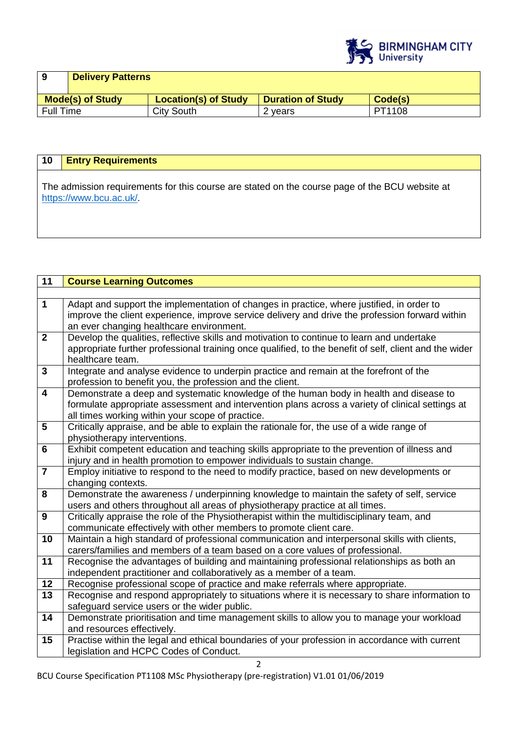

| <b>Delivery Patterns</b> |                             |         |                          |
|--------------------------|-----------------------------|---------|--------------------------|
| <b>Mode(s) of Study</b>  | <b>Location(s) of Study</b> |         | Code(s)                  |
| Full Time                | City South                  | 2 years | PT1108                   |
|                          |                             |         | <b>Duration of Study</b> |

# **10 Entry Requirements**

The admission requirements for this course are stated on the course page of the BCU website at https://www.bcu.ac.uk/.

| $\overline{11}$         | <b>Course Learning Outcomes</b>                                                                        |
|-------------------------|--------------------------------------------------------------------------------------------------------|
|                         |                                                                                                        |
| $\overline{1}$          | Adapt and support the implementation of changes in practice, where justified, in order to              |
|                         | improve the client experience, improve service delivery and drive the profession forward within        |
|                         | an ever changing healthcare environment.                                                               |
| $\overline{2}$          | Develop the qualities, reflective skills and motivation to continue to learn and undertake             |
|                         | appropriate further professional training once qualified, to the benefit of self, client and the wider |
|                         | healthcare team.                                                                                       |
| $\overline{\mathbf{3}}$ | Integrate and analyse evidence to underpin practice and remain at the forefront of the                 |
|                         | profession to benefit you, the profession and the client.                                              |
| $\overline{4}$          | Demonstrate a deep and systematic knowledge of the human body in health and disease to                 |
|                         | formulate appropriate assessment and intervention plans across a variety of clinical settings at       |
|                         | all times working within your scope of practice.                                                       |
| $\overline{5}$          | Critically appraise, and be able to explain the rationale for, the use of a wide range of              |
|                         | physiotherapy interventions.                                                                           |
| $6\phantom{1}6$         | Exhibit competent education and teaching skills appropriate to the prevention of illness and           |
|                         | injury and in health promotion to empower individuals to sustain change.                               |
|                         | Employ initiative to respond to the need to modify practice, based on new developments or              |
|                         | changing contexts.                                                                                     |
| $\overline{\mathbf{8}}$ | Demonstrate the awareness / underpinning knowledge to maintain the safety of self, service             |
|                         | users and others throughout all areas of physiotherapy practice at all times.                          |
| $\overline{9}$          | Critically appraise the role of the Physiotherapist within the multidisciplinary team, and             |
|                         | communicate effectively with other members to promote client care.                                     |
| 10                      | Maintain a high standard of professional communication and interpersonal skills with clients,          |
|                         | carers/families and members of a team based on a core values of professional.                          |
| 11                      | Recognise the advantages of building and maintaining professional relationships as both an             |
|                         | independent practitioner and collaboratively as a member of a team.                                    |
| 12                      | Recognise professional scope of practice and make referrals where appropriate.                         |
| 13                      | Recognise and respond appropriately to situations where it is necessary to share information to        |
|                         | safeguard service users or the wider public.                                                           |
| 14                      | Demonstrate prioritisation and time management skills to allow you to manage your workload             |
|                         | and resources effectively.                                                                             |
| 15                      | Practise within the legal and ethical boundaries of your profession in accordance with current         |
|                         | legislation and HCPC Codes of Conduct.                                                                 |

BCU Course Specification PT1108 MSc Physiotherapy (pre-registration) V1.01 01/06/2019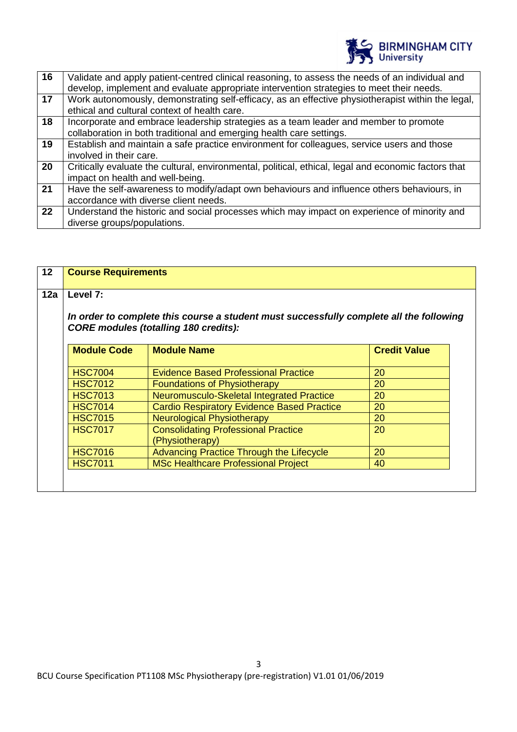

| 16 | Validate and apply patient-centred clinical reasoning, to assess the needs of an individual and<br>develop, implement and evaluate appropriate intervention strategies to meet their needs. |
|----|---------------------------------------------------------------------------------------------------------------------------------------------------------------------------------------------|
| 17 | Work autonomously, demonstrating self-efficacy, as an effective physiotherapist within the legal,<br>ethical and cultural context of health care.                                           |
| 18 | Incorporate and embrace leadership strategies as a team leader and member to promote<br>collaboration in both traditional and emerging health care settings.                                |
| 19 | Establish and maintain a safe practice environment for colleagues, service users and those<br>involved in their care.                                                                       |
| 20 | Critically evaluate the cultural, environmental, political, ethical, legal and economic factors that<br>impact on health and well-being.                                                    |
| 21 | Have the self-awareness to modify/adapt own behaviours and influence others behaviours, in<br>accordance with diverse client needs.                                                         |
| 22 | Understand the historic and social processes which may impact on experience of minority and<br>diverse groups/populations.                                                                  |

| 12  | <b>Course Requirements</b>                                                                                                              |                                                               |                     |  |
|-----|-----------------------------------------------------------------------------------------------------------------------------------------|---------------------------------------------------------------|---------------------|--|
| 12a | Level 7:                                                                                                                                |                                                               |                     |  |
|     | In order to complete this course a student must successfully complete all the following<br><b>CORE modules (totalling 180 credits):</b> |                                                               |                     |  |
|     | <b>Module Code</b>                                                                                                                      | <b>Module Name</b>                                            | <b>Credit Value</b> |  |
|     |                                                                                                                                         |                                                               |                     |  |
|     | <b>HSC7004</b>                                                                                                                          | <b>Evidence Based Professional Practice</b>                   | 20                  |  |
|     | <b>HSC7012</b>                                                                                                                          | <b>Foundations of Physiotherapy</b>                           | 20                  |  |
|     | <b>HSC7013</b>                                                                                                                          | Neuromusculo-Skeletal Integrated Practice                     | 20                  |  |
|     | <b>HSC7014</b>                                                                                                                          | <b>Cardio Respiratory Evidence Based Practice</b>             | 20                  |  |
|     | <b>HSC7015</b>                                                                                                                          | <b>Neurological Physiotherapy</b>                             | 20                  |  |
|     | <b>HSC7017</b>                                                                                                                          | <b>Consolidating Professional Practice</b><br>(Physiotherapy) | 20                  |  |
|     | <b>HSC7016</b>                                                                                                                          | Advancing Practice Through the Lifecycle                      | 20                  |  |
|     | <b>HSC7011</b>                                                                                                                          | <b>MSc Healthcare Professional Project</b>                    | 40                  |  |
|     |                                                                                                                                         |                                                               |                     |  |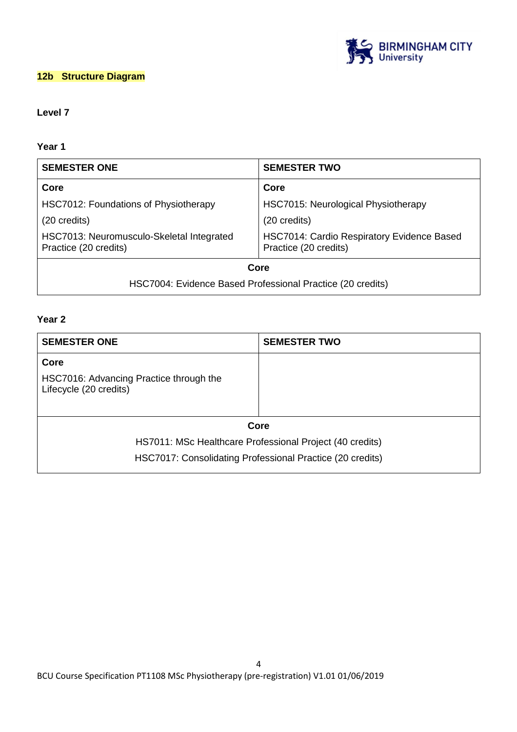

## **12b Structure Diagram**

## **Level 7**

## **Year 1**

| <b>SEMESTER ONE</b>                                                | <b>SEMESTER TWO</b>                                                 |  |
|--------------------------------------------------------------------|---------------------------------------------------------------------|--|
| Core                                                               | Core                                                                |  |
| HSC7012: Foundations of Physiotherapy                              | <b>HSC7015: Neurological Physiotherapy</b>                          |  |
| (20 credits)                                                       | $(20 \text{ credits})$                                              |  |
| HSC7013: Neuromusculo-Skeletal Integrated<br>Practice (20 credits) | HSC7014: Cardio Respiratory Evidence Based<br>Practice (20 credits) |  |
| Core                                                               |                                                                     |  |
| HSC7004: Evidence Based Professional Practice (20 credits)         |                                                                     |  |

## **Year 2**

| <b>SEMESTER ONE</b>                                               | <b>SEMESTER TWO</b>                                       |
|-------------------------------------------------------------------|-----------------------------------------------------------|
| Core                                                              |                                                           |
| HSC7016: Advancing Practice through the<br>Lifecycle (20 credits) |                                                           |
|                                                                   | Core                                                      |
|                                                                   | HS7011: MSc Healthcare Professional Project (40 credits)  |
|                                                                   | HSC7017: Consolidating Professional Practice (20 credits) |